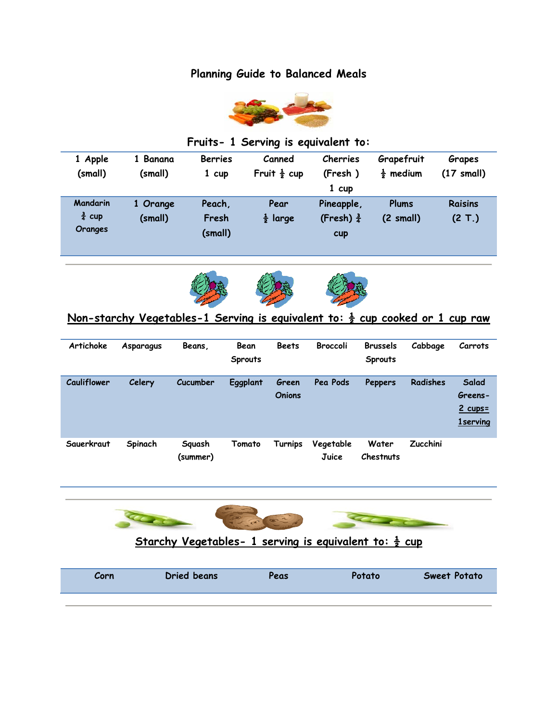## **Planning Guide to Balanced Meals**



### **Fruits- 1 Serving is equivalent to:**

| 1 Apple<br>(small) | 1 Banana<br>(small) | <b>Berries</b><br>1 cup | Canned<br>Fruit $\frac{1}{2}$ cup | Cherries<br>(Fresh)   | Grapefruit<br>$\frac{1}{2}$ medium | Grapes<br>(17 small) |
|--------------------|---------------------|-------------------------|-----------------------------------|-----------------------|------------------------------------|----------------------|
|                    |                     |                         |                                   | $1$ cup               |                                    |                      |
| <b>Mandarin</b>    | 1 Orange            | Peach,                  | Pear                              | Pineapple,            | Plums                              | Raisins              |
| $\frac{3}{4}$ cup  | (small)             | Fresh                   | $\frac{1}{2}$ large               | (Fresh) $\frac{3}{4}$ | $(2 \text{ small})$                | (2 T.)               |
| Oranges            |                     | (small)                 |                                   | <b>cup</b>            |                                    |                      |





## **Non-starchy Vegetables-1 Serving is equivalent to: ½ cup cooked or 1 cup raw**

| Artichoke   | Asparagus | Beans.             | Bean<br><b>Sprouts</b> | <b>Beets</b>           | <b>Broccoli</b>           | <b>Brussels</b><br><b>Sprouts</b> | Cabbage         | Carrots                                           |
|-------------|-----------|--------------------|------------------------|------------------------|---------------------------|-----------------------------------|-----------------|---------------------------------------------------|
| Cauliflower | Celery    | Cucumber           | Eggplant               | Green<br><b>Onions</b> | Pea Pods                  | Peppers                           | Radishes        | Salad<br>Greens-<br>$2$ cups =<br><b>1serving</b> |
| Sauerkraut  | Spinach   | Squash<br>(summer) | Tomato                 | Turnips                | Vegetable<br><b>Juice</b> | Water<br>Chestnuts                | <b>Zucchini</b> |                                                   |



### **Starchy Vegetables- 1 serving is equivalent to: ½ cup**

| Corn | Dried beans | Peas | <b>Potato</b> | <b>Sweet Potato</b> |
|------|-------------|------|---------------|---------------------|
|      |             |      |               |                     |